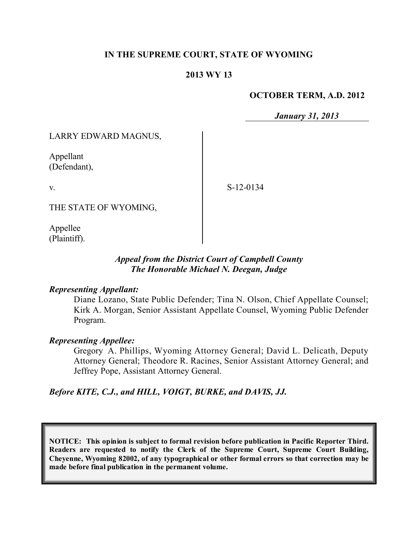#### **IN THE SUPREME COURT, STATE OF WYOMING**

#### **2013 WY 13**

#### **OCTOBER TERM, A.D. 2012**

*January 31, 2013*

LARRY EDWARD MAGNUS,

Appellant (Defendant),

v.

S-12-0134

THE STATE OF WYOMING,

Appellee (Plaintiff).

#### *Appeal from the District Court of Campbell County The Honorable Michael N. Deegan, Judge*

#### *Representing Appellant:*

Diane Lozano, State Public Defender; Tina N. Olson, Chief Appellate Counsel; Kirk A. Morgan, Senior Assistant Appellate Counsel, Wyoming Public Defender Program.

#### *Representing Appellee:*

Gregory A. Phillips, Wyoming Attorney General; David L. Delicath, Deputy Attorney General; Theodore R. Racines, Senior Assistant Attorney General; and Jeffrey Pope, Assistant Attorney General.

*Before KITE, C.J., and HILL, VOIGT, BURKE, and DAVIS, JJ.*

**NOTICE: This opinion is subject to formal revision before publication in Pacific Reporter Third. Readers are requested to notify the Clerk of the Supreme Court, Supreme Court Building, Cheyenne, Wyoming 82002, of any typographical or other formal errors so that correction may be made before final publication in the permanent volume.**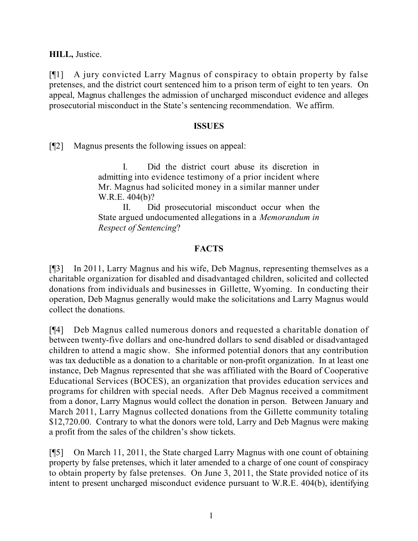**HILL,** Justice.

[¶1] A jury convicted Larry Magnus of conspiracy to obtain property by false pretenses, and the district court sentenced him to a prison term of eight to ten years. On appeal, Magnus challenges the admission of uncharged misconduct evidence and alleges prosecutorial misconduct in the State's sentencing recommendation. We affirm.

#### **ISSUES**

[¶2] Magnus presents the following issues on appeal:

I. Did the district court abuse its discretion in admitting into evidence testimony of a prior incident where Mr. Magnus had solicited money in a similar manner under W.R.E. 404(b)?

II. Did prosecutorial misconduct occur when the State argued undocumented allegations in a *Memorandum in Respect of Sentencing*?

## **FACTS**

[¶3] In 2011, Larry Magnus and his wife, Deb Magnus, representing themselves as a charitable organization for disabled and disadvantaged children, solicited and collected donations from individuals and businesses in Gillette, Wyoming. In conducting their operation, Deb Magnus generally would make the solicitations and Larry Magnus would collect the donations.

[¶4] Deb Magnus called numerous donors and requested a charitable donation of between twenty-five dollars and one-hundred dollars to send disabled or disadvantaged children to attend a magic show. She informed potential donors that any contribution was tax deductible as a donation to a charitable or non-profit organization. In at least one instance, Deb Magnus represented that she was affiliated with the Board of Cooperative Educational Services (BOCES), an organization that provides education services and programs for children with special needs. After Deb Magnus received a commitment from a donor, Larry Magnus would collect the donation in person. Between January and March 2011, Larry Magnus collected donations from the Gillette community totaling \$12,720.00. Contrary to what the donors were told, Larry and Deb Magnus were making a profit from the sales of the children's show tickets.

[¶5] On March 11, 2011, the State charged Larry Magnus with one count of obtaining property by false pretenses, which it later amended to a charge of one count of conspiracy to obtain property by false pretenses. On June 3, 2011, the State provided notice of its intent to present uncharged misconduct evidence pursuant to W.R.E. 404(b), identifying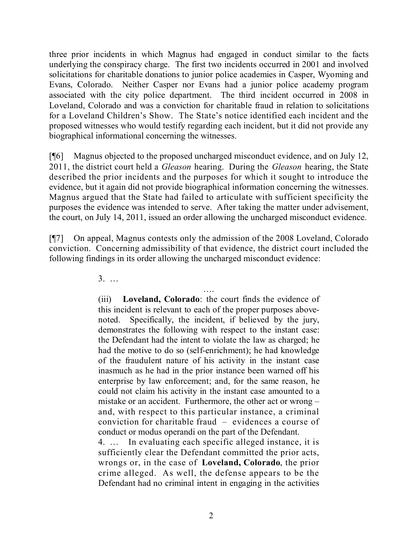three prior incidents in which Magnus had engaged in conduct similar to the facts underlying the conspiracy charge. The first two incidents occurred in 2001 and involved solicitations for charitable donations to junior police academies in Casper, Wyoming and Evans, Colorado. Neither Casper nor Evans had a junior police academy program associated with the city police department. The third incident occurred in 2008 in Loveland, Colorado and was a conviction for charitable fraud in relation to solicitations for a Loveland Children's Show. The State's notice identified each incident and the proposed witnesses who would testify regarding each incident, but it did not provide any biographical informational concerning the witnesses.

[¶6] Magnus objected to the proposed uncharged misconduct evidence, and on July 12, 2011, the district court held a *Gleason* hearing. During the *Gleason* hearing, the State described the prior incidents and the purposes for which it sought to introduce the evidence, but it again did not provide biographical information concerning the witnesses. Magnus argued that the State had failed to articulate with sufficient specificity the purposes the evidence was intended to serve. After taking the matter under advisement, the court, on July 14, 2011, issued an order allowing the uncharged misconduct evidence.

[¶7] On appeal, Magnus contests only the admission of the 2008 Loveland, Colorado conviction. Concerning admissibility of that evidence, the district court included the following findings in its order allowing the uncharged misconduct evidence:

3. …

…. (iii) **Loveland, Colorado**: the court finds the evidence of this incident is relevant to each of the proper purposes abovenoted. Specifically, the incident, if believed by the jury, demonstrates the following with respect to the instant case: the Defendant had the intent to violate the law as charged; he had the motive to do so (self-enrichment); he had knowledge of the fraudulent nature of his activity in the instant case inasmuch as he had in the prior instance been warned off his enterprise by law enforcement; and, for the same reason, he could not claim his activity in the instant case amounted to a mistake or an accident. Furthermore, the other act or wrong – and, with respect to this particular instance, a criminal conviction for charitable fraud – evidences a course of conduct or modus operandi on the part of the Defendant.

4. … In evaluating each specific alleged instance, it is sufficiently clear the Defendant committed the prior acts, wrongs or, in the case of **Loveland, Colorado**, the prior crime alleged. As well, the defense appears to be the Defendant had no criminal intent in engaging in the activities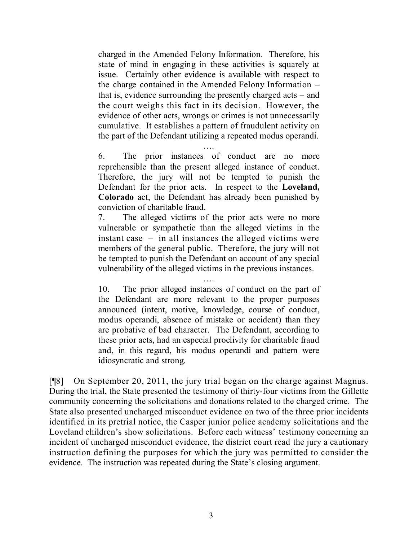charged in the Amended Felony Information. Therefore, his state of mind in engaging in these activities is squarely at issue. Certainly other evidence is available with respect to the charge contained in the Amended Felony Information – that is, evidence surrounding the presently charged acts – and the court weighs this fact in its decision. However, the evidence of other acts, wrongs or crimes is not unnecessarily cumulative. It establishes a pattern of fraudulent activity on the part of the Defendant utilizing a repeated modus operandi.

….

6. The prior instances of conduct are no more reprehensible than the present alleged instance of conduct. Therefore, the jury will not be tempted to punish the Defendant for the prior acts. In respect to the **Loveland, Colorado** act, the Defendant has already been punished by conviction of charitable fraud.

7. The alleged victims of the prior acts were no more vulnerable or sympathetic than the alleged victims in the instant case – in all instances the alleged victims were members of the general public. Therefore, the jury will not be tempted to punish the Defendant on account of any special vulnerability of the alleged victims in the previous instances.

….

10. The prior alleged instances of conduct on the part of the Defendant are more relevant to the proper purposes announced (intent, motive, knowledge, course of conduct, modus operandi, absence of mistake or accident) than they are probative of bad character. The Defendant, according to these prior acts, had an especial proclivity for charitable fraud and, in this regard, his modus operandi and pattern were idiosyncratic and strong.

[¶8] On September 20, 2011, the jury trial began on the charge against Magnus. During the trial, the State presented the testimony of thirty-four victims from the Gillette community concerning the solicitations and donations related to the charged crime. The State also presented uncharged misconduct evidence on two of the three prior incidents identified in its pretrial notice, the Casper junior police academy solicitations and the Loveland children's show solicitations. Before each witness' testimony concerning an incident of uncharged misconduct evidence, the district court read the jury a cautionary instruction defining the purposes for which the jury was permitted to consider the evidence. The instruction was repeated during the State's closing argument.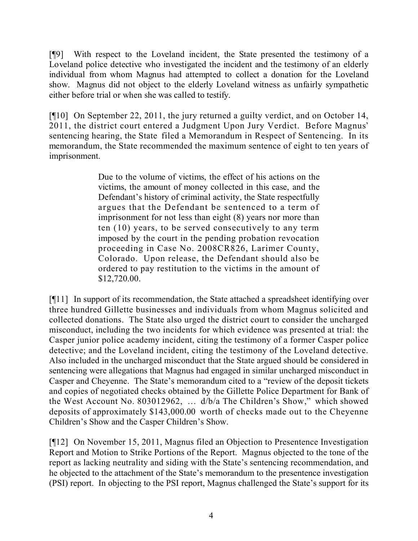[¶9] With respect to the Loveland incident, the State presented the testimony of a Loveland police detective who investigated the incident and the testimony of an elderly individual from whom Magnus had attempted to collect a donation for the Loveland show. Magnus did not object to the elderly Loveland witness as unfairly sympathetic either before trial or when she was called to testify.

[¶10] On September 22, 2011, the jury returned a guilty verdict, and on October 14, 2011, the district court entered a Judgment Upon Jury Verdict. Before Magnus' sentencing hearing, the State filed a Memorandum in Respect of Sentencing. In its memorandum, the State recommended the maximum sentence of eight to ten years of imprisonment.

> Due to the volume of victims, the effect of his actions on the victims, the amount of money collected in this case, and the Defendant's history of criminal activity, the State respectfully argues that the Defendant be sentenced to a term of imprisonment for not less than eight (8) years nor more than ten (10) years, to be served consecutively to any term imposed by the court in the pending probation revocation proceeding in Case No. 2008CR826, Larimer County, Colorado. Upon release, the Defendant should also be ordered to pay restitution to the victims in the amount of \$12,720.00.

[¶11] In support of its recommendation, the State attached a spreadsheet identifying over three hundred Gillette businesses and individuals from whom Magnus solicited and collected donations. The State also urged the district court to consider the uncharged misconduct, including the two incidents for which evidence was presented at trial: the Casper junior police academy incident, citing the testimony of a former Casper police detective; and the Loveland incident, citing the testimony of the Loveland detective. Also included in the uncharged misconduct that the State argued should be considered in sentencing were allegations that Magnus had engaged in similar uncharged misconduct in Casper and Cheyenne. The State's memorandum cited to a "review of the deposit tickets and copies of negotiated checks obtained by the Gillette Police Department for Bank of the West Account No. 803012962, … d/b/a The Children's Show," which showed deposits of approximately \$143,000.00 worth of checks made out to the Cheyenne Children's Show and the Casper Children's Show.

[¶12] On November 15, 2011, Magnus filed an Objection to Presentence Investigation Report and Motion to Strike Portions of the Report. Magnus objected to the tone of the report as lacking neutrality and siding with the State's sentencing recommendation, and he objected to the attachment of the State's memorandum to the presentence investigation (PSI) report. In objecting to the PSI report, Magnus challenged the State's support for its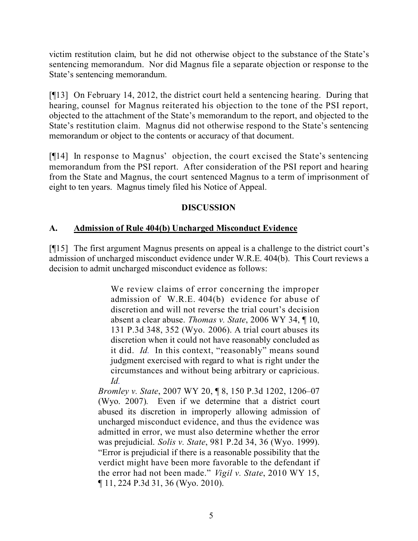victim restitution claim, but he did not otherwise object to the substance of the State's sentencing memorandum. Nor did Magnus file a separate objection or response to the State's sentencing memorandum.

[¶13] On February 14, 2012, the district court held a sentencing hearing. During that hearing, counsel for Magnus reiterated his objection to the tone of the PSI report, objected to the attachment of the State's memorandum to the report, and objected to the State's restitution claim. Magnus did not otherwise respond to the State's sentencing memorandum or object to the contents or accuracy of that document.

[¶14] In response to Magnus' objection, the court excised the State's sentencing memorandum from the PSI report. After consideration of the PSI report and hearing from the State and Magnus, the court sentenced Magnus to a term of imprisonment of eight to ten years. Magnus timely filed his Notice of Appeal.

## **DISCUSSION**

# **A. Admission of Rule 404(b) Uncharged Misconduct Evidence**

[¶15] The first argument Magnus presents on appeal is a challenge to the district court's admission of uncharged misconduct evidence under W.R.E. 404(b). This Court reviews a decision to admit uncharged misconduct evidence as follows:

> We review claims of error concerning the improper admission of W.R.E. 404(b) evidence for abuse of discretion and will not reverse the trial court's decision absent a clear abuse. *Thomas v. State*, 2006 WY 34, ¶ 10, 131 P.3d 348, 352 (Wyo. 2006). A trial court abuses its discretion when it could not have reasonably concluded as it did. *Id.* In this context, "reasonably" means sound judgment exercised with regard to what is right under the circumstances and without being arbitrary or capricious. *Id.*

*Bromley v. State*, 2007 WY 20, ¶ 8, 150 P.3d 1202, 1206–07 (Wyo. 2007). Even if we determine that a district court abused its discretion in improperly allowing admission of uncharged misconduct evidence, and thus the evidence was admitted in error, we must also determine whether the error was prejudicial. *Solis v. State*, 981 P.2d 34, 36 (Wyo. 1999). "Error is prejudicial if there is a reasonable possibility that the verdict might have been more favorable to the defendant if the error had not been made." *Vigil v. State*, 2010 WY 15, ¶ 11, 224 P.3d 31, 36 (Wyo. 2010).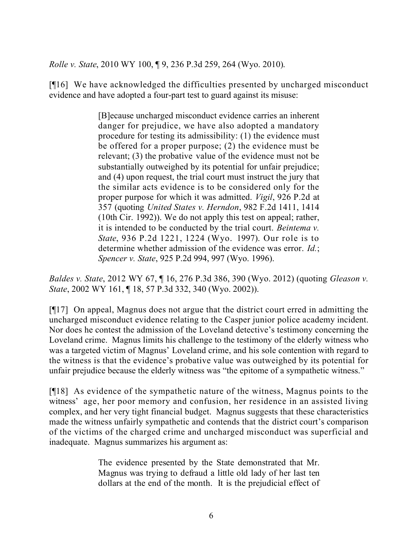*Rolle v. State*, 2010 WY 100, ¶ 9, 236 P.3d 259, 264 (Wyo. 2010).

[¶16] We have acknowledged the difficulties presented by uncharged misconduct evidence and have adopted a four-part test to guard against its misuse:

> [B]ecause uncharged misconduct evidence carries an inherent danger for prejudice, we have also adopted a mandatory procedure for testing its admissibility: (1) the evidence must be offered for a proper purpose; (2) the evidence must be relevant; (3) the probative value of the evidence must not be substantially outweighed by its potential for unfair prejudice; and (4) upon request, the trial court must instruct the jury that the similar acts evidence is to be considered only for the proper purpose for which it was admitted. *Vigil*, 926 P.2d at 357 (quoting *United States v. Herndon*, 982 F.2d 1411, 1414 (10th Cir. 1992)). We do not apply this test on appeal; rather, it is intended to be conducted by the trial court. *Beintema v. State*, 936 P.2d 1221, 1224 (Wyo. 1997). Our role is to determine whether admission of the evidence was error. *Id.*; *Spencer v. State*, 925 P.2d 994, 997 (Wyo. 1996).

*Baldes v. State*, 2012 WY 67, ¶ 16, 276 P.3d 386, 390 (Wyo. 2012) (quoting *Gleason v. State*, 2002 WY 161, ¶ 18, 57 P.3d 332, 340 (Wyo. 2002)).

[¶17] On appeal, Magnus does not argue that the district court erred in admitting the uncharged misconduct evidence relating to the Casper junior police academy incident. Nor does he contest the admission of the Loveland detective's testimony concerning the Loveland crime. Magnus limits his challenge to the testimony of the elderly witness who was a targeted victim of Magnus' Loveland crime, and his sole contention with regard to the witness is that the evidence's probative value was outweighed by its potential for unfair prejudice because the elderly witness was "the epitome of a sympathetic witness."

[¶18] As evidence of the sympathetic nature of the witness, Magnus points to the witness' age, her poor memory and confusion, her residence in an assisted living complex, and her very tight financial budget. Magnus suggests that these characteristics made the witness unfairly sympathetic and contends that the district court's comparison of the victims of the charged crime and uncharged misconduct was superficial and inadequate. Magnus summarizes his argument as:

> The evidence presented by the State demonstrated that Mr. Magnus was trying to defraud a little old lady of her last ten dollars at the end of the month. It is the prejudicial effect of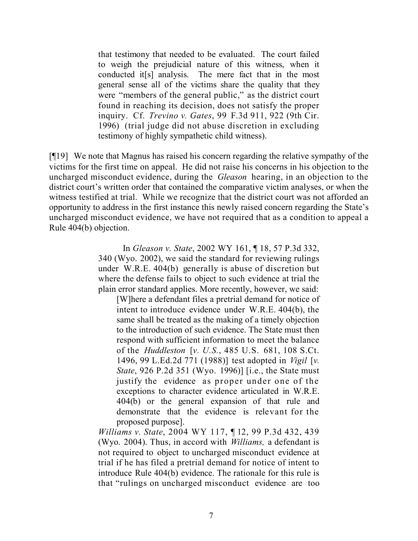that testimony that needed to be evaluated. The court failed to weigh the prejudicial nature of this witness, when it conducted it[s] analysis. The mere fact that in the most general sense all of the victims share the quality that they were "members of the general public," as the district court found in reaching its decision, does not satisfy the proper inquiry. Cf. *Trevino v. Gates*, 99 F.3d 911, 922 (9th Cir. 1996) (trial judge did not abuse discretion in excluding testimony of highly sympathetic child witness).

[¶19] We note that Magnus has raised his concern regarding the relative sympathy of the victims for the first time on appeal. He did not raise his concerns in his objection to the uncharged misconduct evidence, during the *Gleason* hearing, in an objection to the district court's written order that contained the comparative victim analyses, or when the witness testified at trial. While we recognize that the district court was not afforded an opportunity to address in the first instance this newly raised concern regarding the State's uncharged misconduct evidence, we have not required that as a condition to appeal a Rule 404(b) objection.

> In *Gleason v. State*, 2002 WY 161, ¶ 18, 57 P.3d 332, 340 (Wyo. 2002), we said the standard for reviewing rulings under W.R.E. 404(b) generally is abuse of discretion but where the defense fails to object to such evidence at trial the plain error standard applies. More recently, however, we said:

[W]here a defendant files a pretrial demand for notice of intent to introduce evidence under W.R.E. 404(b), the same shall be treated as the making of a timely objection to the introduction of such evidence. The State must then respond with sufficient information to meet the balance of the *Huddleston* [*v. U.S.*, 485 U.S. 681, 108 S.Ct. 1496, 99 L.Ed.2d 771 (1988)] test adopted in *Vigil* [*v. State*, 926 P.2d 351 (Wyo. 1996)] [i.e., the State must justify the evidence as proper under one of the exceptions to character evidence articulated in W.R.E. 404(b) or the general expansion of that rule and demonstrate that the evidence is relevant for the proposed purpose].

*Williams v. State*, 2004 WY 117, ¶ 12, 99 P.3d 432, 439 (Wyo. 2004). Thus, in accord with *Williams,* a defendant is not required to object to uncharged misconduct evidence at trial if he has filed a pretrial demand for notice of intent to introduce Rule 404(b) evidence. The rationale for this rule is that "rulings on uncharged misconduct evidence are too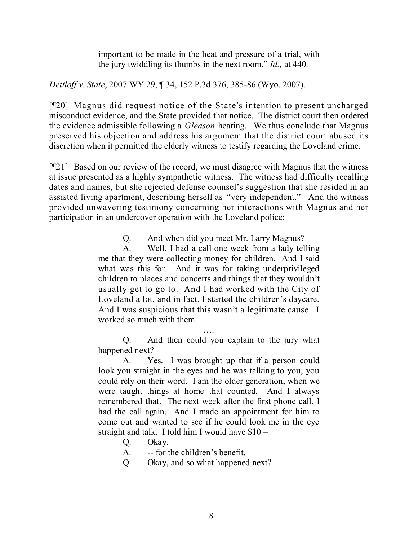important to be made in the heat and pressure of a trial, with the jury twiddling its thumbs in the next room." *Id.,* at 440.

*Dettloff v. State*, 2007 WY 29, ¶ 34, 152 P.3d 376, 385-86 (Wyo. 2007).

[¶20] Magnus did request notice of the State's intention to present uncharged misconduct evidence, and the State provided that notice. The district court then ordered the evidence admissible following a *Gleason* hearing. We thus conclude that Magnus preserved his objection and address his argument that the district court abused its discretion when it permitted the elderly witness to testify regarding the Loveland crime.

[¶21] Based on our review of the record, we must disagree with Magnus that the witness at issue presented as a highly sympathetic witness. The witness had difficulty recalling dates and names, but she rejected defense counsel's suggestion that she resided in an assisted living apartment, describing herself as "very independent." And the witness provided unwavering testimony concerning her interactions with Magnus and her participation in an undercover operation with the Loveland police:

Q. And when did you meet Mr. Larry Magnus?

A. Well, I had a call one week from a lady telling me that they were collecting money for children. And I said what was this for. And it was for taking underprivileged children to places and concerts and things that they wouldn't usually get to go to. And I had worked with the City of Loveland a lot, and in fact, I started the children's daycare. And I was suspicious that this wasn't a legitimate cause. I worked so much with them.

…. Q. And then could you explain to the jury what happened next?

A. Yes. I was brought up that if a person could look you straight in the eyes and he was talking to you, you could rely on their word. I am the older generation, when we were taught things at home that counted. And I always remembered that. The next week after the first phone call, I had the call again. And I made an appointment for him to come out and wanted to see if he could look me in the eye straight and talk. I told him I would have \$10 –

Q. Okay.

A. -- for the children's benefit.

Q. Okay, and so what happened next?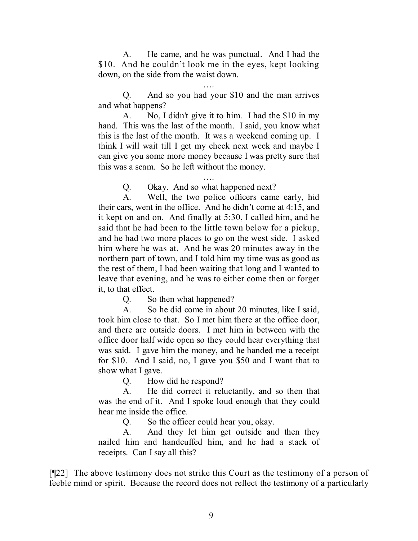A. He came, and he was punctual. And I had the \$10. And he couldn't look me in the eyes, kept looking down, on the side from the waist down.

…. Q. And so you had your \$10 and the man arrives and what happens?

A. No, I didn't give it to him. I had the \$10 in my hand. This was the last of the month. I said, you know what this is the last of the month. It was a weekend coming up. I think I will wait till I get my check next week and maybe I can give you some more money because I was pretty sure that this was a scam. So he left without the money.

….

Q. Okay. And so what happened next?

A. Well, the two police officers came early, hid their cars, went in the office. And he didn't come at 4:15, and it kept on and on. And finally at 5:30, I called him, and he said that he had been to the little town below for a pickup, and he had two more places to go on the west side. I asked him where he was at. And he was 20 minutes away in the northern part of town, and I told him my time was as good as the rest of them, I had been waiting that long and I wanted to leave that evening, and he was to either come then or forget it, to that effect.

Q. So then what happened?

A. So he did come in about 20 minutes, like I said, took him close to that. So I met him there at the office door, and there are outside doors. I met him in between with the office door half wide open so they could hear everything that was said. I gave him the money, and he handed me a receipt for \$10. And I said, no, I gave you \$50 and I want that to show what I gave.

Q. How did he respond?

A. He did correct it reluctantly, and so then that was the end of it. And I spoke loud enough that they could hear me inside the office.

Q. So the officer could hear you, okay.

A. And they let him get outside and then they nailed him and handcuffed him, and he had a stack of receipts. Can I say all this?

[¶22] The above testimony does not strike this Court as the testimony of a person of feeble mind or spirit. Because the record does not reflect the testimony of a particularly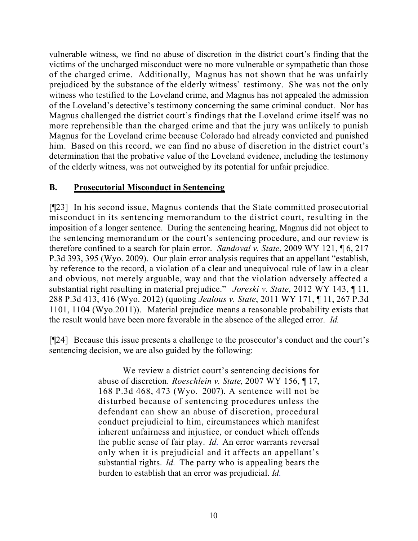vulnerable witness, we find no abuse of discretion in the district court's finding that the victims of the uncharged misconduct were no more vulnerable or sympathetic than those of the charged crime. Additionally, Magnus has not shown that he was unfairly prejudiced by the substance of the elderly witness' testimony. She was not the only witness who testified to the Loveland crime, and Magnus has not appealed the admission of the Loveland's detective's testimony concerning the same criminal conduct. Nor has Magnus challenged the district court's findings that the Loveland crime itself was no more reprehensible than the charged crime and that the jury was unlikely to punish Magnus for the Loveland crime because Colorado had already convicted and punished him. Based on this record, we can find no abuse of discretion in the district court's determination that the probative value of the Loveland evidence, including the testimony of the elderly witness, was not outweighed by its potential for unfair prejudice.

## **B. Prosecutorial Misconduct in Sentencing**

[¶23] In his second issue, Magnus contends that the State committed prosecutorial misconduct in its sentencing memorandum to the district court, resulting in the imposition of a longer sentence. During the sentencing hearing, Magnus did not object to the sentencing memorandum or the court's sentencing procedure, and our review is therefore confined to a search for plain error. *Sandoval v. State*, 2009 WY 121, ¶ 6, 217 P.3d 393, 395 (Wyo. 2009). Our plain error analysis requires that an appellant "establish, by reference to the record, a violation of a clear and unequivocal rule of law in a clear and obvious, not merely arguable, way and that the violation adversely affected a substantial right resulting in material prejudice." *Joreski v. State*, 2012 WY 143, ¶ 11, 288 P.3d 413, 416 (Wyo. 2012) (quoting *Jealous v. State*, 2011 WY 171, ¶ 11, 267 P.3d 1101, 1104 (Wyo.2011)). Material prejudice means a reasonable probability exists that the result would have been more favorable in the absence of the alleged error. *Id.*

[¶24] Because this issue presents a challenge to the prosecutor's conduct and the court's sentencing decision, we are also guided by the following:

> We review a district court's sentencing decisions for abuse of discretion. *Roeschlein v. State*, 2007 WY 156, ¶ 17, 168 P.3d 468, 473 (Wyo. 2007). A sentence will not be disturbed because of sentencing procedures unless the defendant can show an abuse of discretion, procedural conduct prejudicial to him, circumstances which manifest inherent unfairness and injustice, or conduct which offends the public sense of fair play. *Id.* An error warrants reversal only when it is prejudicial and it affects an appellant's substantial rights. *Id.* The party who is appealing bears the burden to establish that an error was prejudicial. *Id.*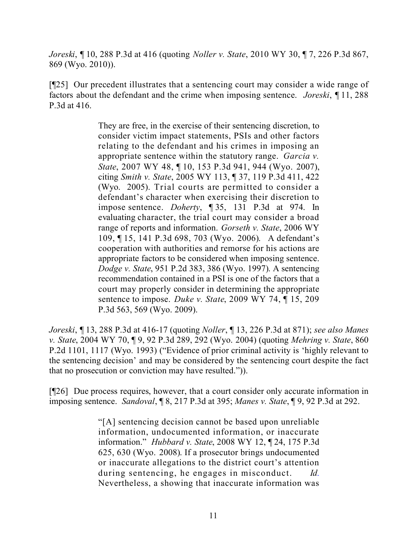*Joreski*, ¶ 10, 288 P.3d at 416 (quoting *Noller v. State*, 2010 WY 30, ¶ 7, 226 P.3d 867, 869 (Wyo. 2010)).

[¶25] Our precedent illustrates that a sentencing court may consider a wide range of factors about the defendant and the crime when imposing sentence. *Joreski*, ¶ 11, 288 P.3d at 416.

> They are free, in the exercise of their sentencing discretion, to consider victim impact statements, PSIs and other factors relating to the defendant and his crimes in imposing an appropriate sentence within the statutory range. *Garcia v. State*, 2007 WY 48, ¶ 10, 153 P.3d 941, 944 (Wyo. 2007), citing *Smith v. State*, 2005 WY 113, ¶ 37, 119 P.3d 411, 422 (Wyo. 2005). Trial courts are permitted to consider a defendant's character when exercising their discretion to impose sentence. *Doherty*, ¶ 35, 131 P.3d at 974. In evaluating character, the trial court may consider a broad range of reports and information. *Gorseth v. State*, 2006 WY 109, ¶ 15, 141 P.3d 698, 703 (Wyo. 2006). A defendant's cooperation with authorities and remorse for his actions are appropriate factors to be considered when imposing sentence. *Dodge v. State*, 951 P.2d 383, 386 (Wyo. 1997). A sentencing recommendation contained in a PSI is one of the factors that a court may properly consider in determining the appropriate sentence to impose. *Duke v. State*, 2009 WY 74, ¶ 15, 209 P.3d 563, 569 (Wyo. 2009).

*Joreski*, ¶ 13, 288 P.3d at 416-17 (quoting *Noller*, ¶ 13, 226 P.3d at 871); *see also Manes v. State*, 2004 WY 70, ¶ 9, 92 P.3d 289, 292 (Wyo. 2004) (quoting *Mehring v. State*, 860 P.2d 1101, 1117 (Wyo. 1993) ("Evidence of prior criminal activity is 'highly relevant to the sentencing decision' and may be considered by the sentencing court despite the fact that no prosecution or conviction may have resulted.")).

[¶26] Due process requires, however, that a court consider only accurate information in imposing sentence. *Sandoval*, ¶ 8, 217 P.3d at 395; *Manes v. State*, ¶ 9, 92 P.3d at 292.

> "[A] sentencing decision cannot be based upon unreliable information, undocumented information, or inaccurate information." *Hubbard v. State*, 2008 WY 12, ¶ 24, 175 P.3d 625, 630 (Wyo. 2008). If a prosecutor brings undocumented or inaccurate allegations to the district court's attention during sentencing, he engages in misconduct. *Id.* Nevertheless, a showing that inaccurate information was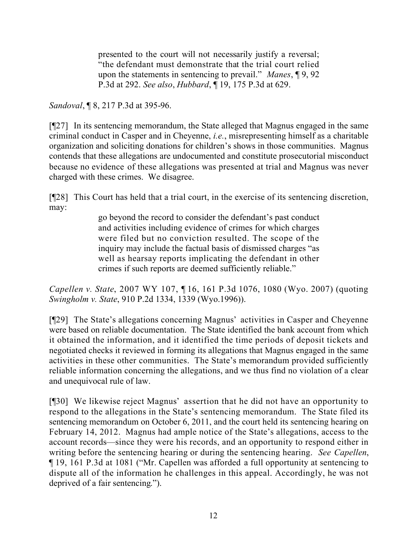presented to the court will not necessarily justify a reversal; "the defendant must demonstrate that the trial court relied upon the statements in sentencing to prevail." *Manes*, ¶ 9, 92 P.3d at 292. *See also*, *Hubbard*, ¶ 19, 175 P.3d at 629.

*Sandoval*, ¶ 8, 217 P.3d at 395-96.

[¶27] In its sentencing memorandum, the State alleged that Magnus engaged in the same criminal conduct in Casper and in Cheyenne, *i.e.*, misrepresenting himself as a charitable organization and soliciting donations for children's shows in those communities. Magnus contends that these allegations are undocumented and constitute prosecutorial misconduct because no evidence of these allegations was presented at trial and Magnus was never charged with these crimes. We disagree.

[¶28] This Court has held that a trial court, in the exercise of its sentencing discretion, may:

> go beyond the record to consider the defendant's past conduct and activities including evidence of crimes for which charges were filed but no conviction resulted. The scope of the inquiry may include the factual basis of dismissed charges "as well as hearsay reports implicating the defendant in other crimes if such reports are deemed sufficiently reliable."

*Capellen v. State*, 2007 WY 107, ¶ 16, 161 P.3d 1076, 1080 (Wyo. 2007) (quoting *Swingholm v. State*, 910 P.2d 1334, 1339 (Wyo.1996)).

[¶29] The State's allegations concerning Magnus' activities in Casper and Cheyenne were based on reliable documentation. The State identified the bank account from which it obtained the information, and it identified the time periods of deposit tickets and negotiated checks it reviewed in forming its allegations that Magnus engaged in the same activities in these other communities. The State's memorandum provided sufficiently reliable information concerning the allegations, and we thus find no violation of a clear and unequivocal rule of law.

[¶30] We likewise reject Magnus' assertion that he did not have an opportunity to respond to the allegations in the State's sentencing memorandum. The State filed its sentencing memorandum on October 6, 2011, and the court held its sentencing hearing on February 14, 2012. Magnus had ample notice of the State's allegations, access to the account records—since they were his records, and an opportunity to respond either in writing before the sentencing hearing or during the sentencing hearing. *See Capellen*, ¶ 19, 161 P.3d at 1081 ("Mr. Capellen was afforded a full opportunity at sentencing to dispute all of the information he challenges in this appeal. Accordingly, he was not deprived of a fair sentencing.").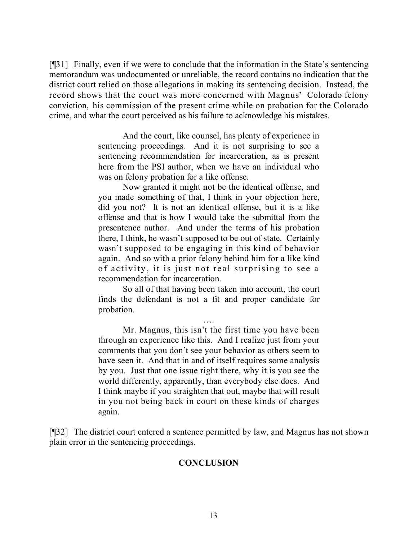[¶31] Finally, even if we were to conclude that the information in the State's sentencing memorandum was undocumented or unreliable, the record contains no indication that the district court relied on those allegations in making its sentencing decision. Instead, the record shows that the court was more concerned with Magnus' Colorado felony conviction, his commission of the present crime while on probation for the Colorado crime, and what the court perceived as his failure to acknowledge his mistakes.

> And the court, like counsel, has plenty of experience in sentencing proceedings. And it is not surprising to see a sentencing recommendation for incarceration, as is present here from the PSI author, when we have an individual who was on felony probation for a like offense.

> Now granted it might not be the identical offense, and you made something of that, I think in your objection here, did you not? It is not an identical offense, but it is a like offense and that is how I would take the submittal from the presentence author. And under the terms of his probation there, I think, he wasn't supposed to be out of state. Certainly wasn't supposed to be engaging in this kind of behavior again. And so with a prior felony behind him for a like kind of activity, it is just not real surprising to see a recommendation for incarceration.

> So all of that having been taken into account, the court finds the defendant is not a fit and proper candidate for probation.

> …. Mr. Magnus, this isn't the first time you have been through an experience like this. And I realize just from your comments that you don't see your behavior as others seem to have seen it. And that in and of itself requires some analysis by you. Just that one issue right there, why it is you see the world differently, apparently, than everybody else does. And I think maybe if you straighten that out, maybe that will result in you not being back in court on these kinds of charges again.

[¶32] The district court entered a sentence permitted by law, and Magnus has not shown plain error in the sentencing proceedings.

#### **CONCLUSION**